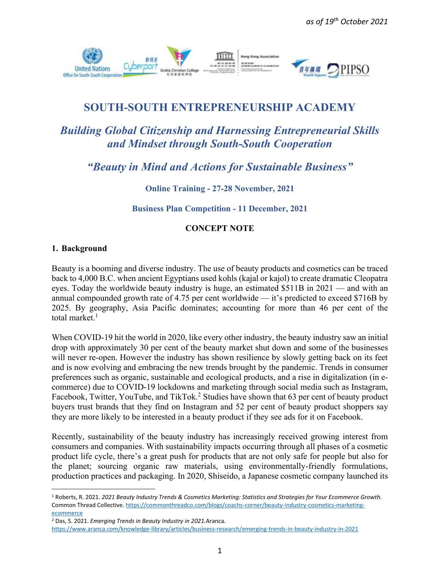

## **SOUTH-SOUTH ENTREPRENEURSHIP ACADEMY**

# *Building Global Citizenship and Harnessing Entrepreneurial Skills and Mindset through South-South Cooperation*

*"Beauty in Mind and Actions for Sustainable Business"*

**Online Training - 27-28 November, 2021**

**Business Plan Competition - 11 December, 2021**

### **CONCEPT NOTE**

#### **1. Background**

Beauty is a booming and diverse industry. The use of beauty products and cosmetics can be traced back to 4,000 B.C. when ancient Egyptians used kohls (kajal or kajol) to create dramatic Cleopatra eyes. Today the worldwide beauty industry is huge, an estimated \$511B in 2021 — and with an annual compounded growth rate of 4.75 per cent worldwide — it's predicted to exceed \$716B by 2025. By geography, Asia Pacific dominates; accounting for more than 46 per cent of the total market. $1$ 

When COVID-19 hit the world in 2020, like every other industry, the beauty industry saw an initial drop with approximately 30 per cent of the beauty market shut down and some of the businesses will never re-open. However the industry has shown resilience by slowly getting back on its feet and is now evolving and embracing the new trends brought by the pandemic. Trends in consumer preferences such as organic, sustainable and ecological products, and a rise in digitalization (in ecommerce) due to COVID-19 lockdowns and marketing through social media such as Instagram, Facebook, Twitter, YouTube, and TikTok.<sup>2</sup> Studies have shown that 63 per cent of beauty product buyers trust brands that they find on Instagram and 52 per cent of beauty product shoppers say they are more likely to be interested in a beauty product if they see ads for it on Facebook.

Recently, sustainability of the beauty industry has increasingly received growing interest from consumers and companies. With sustainability impacts occurring through all phases of a cosmetic product life cycle, there's a great push for products that are not only safe for people but also for the planet; sourcing organic raw materials, using environmentally-friendly formulations, production practices and packaging. In 2020, Shiseido, a Japanese cosmetic company launched its

<sup>2</sup> Das, S. 2021. *Emerging Trends in Beauty Industry in 2021.*Aranca.

<sup>1</sup> Roberts, R. 2021. *2021 Beauty Industry Trends & Cosmetics Marketing: Statistics and Strategies for Your Ecommerce Growth.* Common Thread Collective[. https://commonthreadco.com/blogs/coachs-corner/beauty-industry-cosmetics-marketing](https://commonthreadco.com/blogs/coachs-corner/beauty-industry-cosmetics-marketing-ecommerce)[ecommerce](https://commonthreadco.com/blogs/coachs-corner/beauty-industry-cosmetics-marketing-ecommerce)

<https://www.aranca.com/knowledge-library/articles/business-research/emerging-trends-in-beauty-industry-in-2021>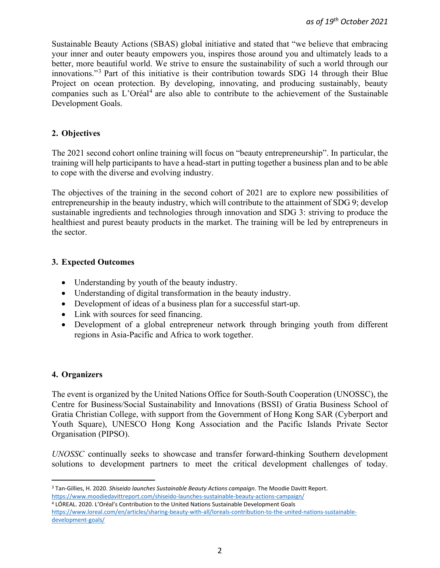Sustainable Beauty Actions (SBAS) global initiative and stated that "we believe that embracing your inner and outer beauty empowers you, inspires those around you and ultimately leads to a better, more beautiful world. We strive to ensure the sustainability of such a world through our innovations."<sup>3</sup> Part of this initiative is their contribution towards SDG 14 through their Blue Project on ocean protection. By developing, innovating, and producing sustainably, beauty companies such as L'Oréal<sup>4</sup> are also able to contribute to the achievement of the Sustainable Development Goals.

#### **2. Objectives**

The 2021 second cohort online training will focus on "beauty entrepreneurship". In particular, the training will help participants to have a head-start in putting together a business plan and to be able to cope with the diverse and evolving industry.

The objectives of the training in the second cohort of 2021 are to explore new possibilities of entrepreneurship in the beauty industry, which will contribute to the attainment of SDG 9; develop sustainable ingredients and technologies through innovation and SDG 3: striving to produce the healthiest and purest beauty products in the market. The training will be led by entrepreneurs in the sector.

#### **3. Expected Outcomes**

- Understanding by youth of the beauty industry.
- Understanding of digital transformation in the beauty industry.
- Development of ideas of a business plan for a successful start-up.
- Link with sources for seed financing.
- Development of a global entrepreneur network through bringing youth from different regions in Asia-Pacific and Africa to work together.

#### **4. Organizers**

The event is organized by the United Nations Office for South-South Cooperation (UNOSSC), the Centre for Business/Social Sustainability and Innovations (BSSI) of Gratia Business School of Gratia Christian College, with support from the Government of Hong Kong SAR (Cyberport and Youth Square), UNESCO Hong Kong Association and the Pacific Islands Private Sector Organisation (PIPSO).

*UNOSSC* continually seeks to showcase and transfer forward-thinking Southern development solutions to development partners to meet the critical development challenges of today.

<sup>4</sup> LÓREAL. 2020. L'Oréal's Contribution to the United Nations Sustainable Development Goals [https://www.loreal.com/en/articles/sharing-beauty-with-all/loreals-contribution-to-the-united-nations-sustainable](https://www.loreal.com/en/articles/sharing-beauty-with-all/loreals-contribution-to-the-united-nations-sustainable-development-goals/)[development-goals/](https://www.loreal.com/en/articles/sharing-beauty-with-all/loreals-contribution-to-the-united-nations-sustainable-development-goals/)

<sup>3</sup> Tan-Gillies, H. 2020. *Shiseido launches Sustainable Beauty Actions campaign*. The Moodie Davitt Report. <https://www.moodiedavittreport.com/shiseido-launches-sustainable-beauty-actions-campaign/>